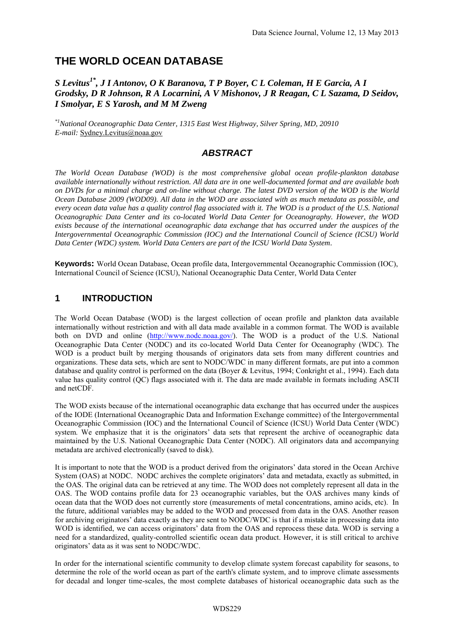# **THE WORLD OCEAN DATABASE**

#### *S Levitus1\*, J I Antonov, O K Baranova, T P Boyer, C L Coleman, H E Garcia, A I Grodsky, D R Johnson, R A Locarnini, A V Mishonov, J R Reagan, C L Sazama, D Seidov, I Smolyar, E S Yarosh, and M M Zweng*

*\*1National Oceanographic Data Center, 1315 East West Highway, Silver Spring, MD, 20910 E-mail:* Sydney.Levitus@noaa.gov

# *ABSTRACT*

*The World Ocean Database (WOD) is the most comprehensive global ocean profile-plankton database available internationally without restriction. All data are in one well-documented format and are available both on DVDs for a minimal charge and on-line without charge. The latest DVD version of the WOD is the World Ocean Database 2009 (WOD09). All data in the WOD are associated with as much metadata as possible, and every ocean data value has a quality control flag associated with it. The WOD is a product of the U.S. National Oceanographic Data Center and its co-located World Data Center for Oceanography. However, the WOD exists because of the international oceanographic data exchange that has occurred under the auspices of the Intergovernmental Oceanographic Commission (IOC) and the International Council of Science (ICSU) World Data Center (WDC) system. World Data Centers are part of the ICSU World Data System.*

**Keywords:** World Ocean Database, Ocean profile data, Intergovernmental Oceanographic Commission (IOC), International Council of Science (ICSU), National Oceanographic Data Center, World Data Center

#### **1 INTRODUCTION**

The World Ocean Database (WOD) is the largest collection of ocean profile and plankton data available internationally without restriction and with all data made available in a common format. The WOD is available both on DVD and online [\(http://www.nodc.noaa.gov/\)](http://www.nodc.noaa.gov/). The WOD is a product of the U.S. National Oceanographic Data Center (NODC) and its co-located World Data Center for Oceanography (WDC). The WOD is a product built by merging thousands of originators data sets from many different countries and organizations. These data sets, which are sent to NODC/WDC in many different formats, are put into a common database and quality control is performed on the data (Boyer & Levitus, 1994; Conkright et al., 1994). Each data value has quality control (QC) flags associated with it. The data are made available in formats including ASCII and netCDF.

The WOD exists because of the international oceanographic data exchange that has occurred under the auspices of the IODE (International Oceanographic Data and Information Exchange committee) of the Intergovernmental Oceanographic Commission (IOC) and the International Council of Science (ICSU) World Data Center (WDC) system. We emphasize that it is the originators' data sets that represent the archive of oceanographic data maintained by the U.S. National Oceanographic Data Center (NODC). All originators data and accompanying metadata are archived electronically (saved to disk).

It is important to note that the WOD is a product derived from the originators' data stored in the Ocean Archive System (OAS) at NODC. NODC archives the complete originators' data and metadata, exactly as submitted, in the OAS. The original data can be retrieved at any time. The WOD does not completely represent all data in the OAS. The WOD contains profile data for 23 oceanographic variables, but the OAS archives many kinds of ocean data that the WOD does not currently store (measurements of metal concentrations, amino acids, etc). In the future, additional variables may be added to the WOD and processed from data in the OAS. Another reason for archiving originators' data exactly as they are sent to NODC/WDC is that if a mistake in processing data into WOD is identified, we can access originators' data from the OAS and reprocess these data. WOD is serving a need for a standardized, quality-controlled scientific ocean data product. However, it is still critical to archive originators' data as it was sent to NODC/WDC.

In order for the international scientific community to develop climate system forecast capability for seasons, to determine the role of the world ocean as part of the earth's climate system, and to improve climate assessments for decadal and longer time-scales, the most complete databases of historical oceanographic data such as the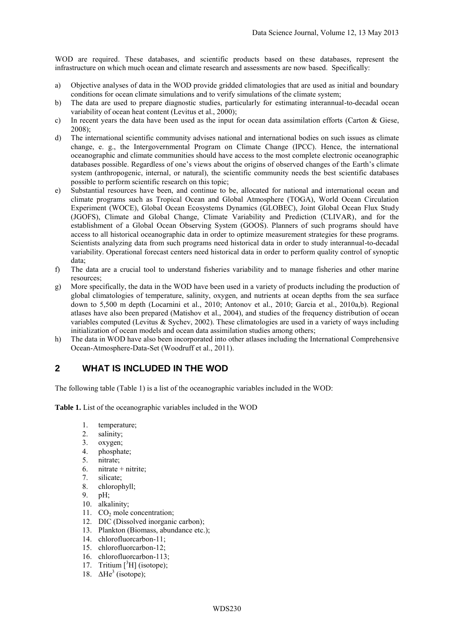WOD are required. These databases, and scientific products based on these databases, represent the infrastructure on which much ocean and climate research and assessments are now based. Specifically:

- a) Objective analyses of data in the WOD provide gridded climatologies that are used as initial and boundary conditions for ocean climate simulations and to verify simulations of the climate system;
- b) The data are used to prepare diagnostic studies, particularly for estimating interannual-to-decadal ocean variability of ocean heat content (Levitus et al., 2000);
- c) In recent years the data have been used as the input for ocean data assimilation efforts (Carton  $\&$  Giese, 2008);
- d) The international scientific community advises national and international bodies on such issues as climate change, e. g., the Intergovernmental Program on Climate Change (IPCC). Hence, the international oceanographic and climate communities should have access to the most complete electronic oceanographic databases possible. Regardless of one's views about the origins of observed changes of the Earth's climate system (anthropogenic, internal, or natural), the scientific community needs the best scientific databases possible to perform scientific research on this topic;
- e) Substantial resources have been, and continue to be, allocated for national and international ocean and climate programs such as Tropical Ocean and Global Atmosphere (TOGA), World Ocean Circulation Experiment (WOCE), Global Ocean Ecosystems Dynamics (GLOBEC), Joint Global Ocean Flux Study (JGOFS), Climate and Global Change, Climate Variability and Prediction (CLIVAR), and for the establishment of a Global Ocean Observing System (GOOS). Planners of such programs should have access to all historical oceanographic data in order to optimize measurement strategies for these programs. Scientists analyzing data from such programs need historical data in order to study interannual-to-decadal variability. Operational forecast centers need historical data in order to perform quality control of synoptic data;
- f) The data are a crucial tool to understand fisheries variability and to manage fisheries and other marine resources;
- g) More specifically, the data in the WOD have been used in a variety of products including the production of global climatologies of temperature, salinity, oxygen, and nutrients at ocean depths from the sea surface down to 5,500 m depth (Locarnini et al., 2010; Antonov et al., 2010; Garcia et al., 2010a,b). Regional atlases have also been prepared (Matishov et al., 2004), and studies of the frequency distribution of ocean variables computed (Levitus & Sychev, 2002). These climatologies are used in a variety of ways including initialization of ocean models and ocean data assimilation studies among others;
- h) The data in WOD have also been incorporated into other atlases including the International Comprehensive Ocean-Atmosphere-Data-Set (Woodruff et al., 2011).

## **2 WHAT IS INCLUDED IN THE WOD**

The following table (Table 1) is a list of the oceanographic variables included in the WOD:

**Table 1.** List of the oceanographic variables included in the WOD

- 1. temperature;
- 2. salinity;
- 3. oxygen;
- 4. phosphate;
- 5. nitrate;
- 6. nitrate + nitrite;
- 7. silicate;
- 8. chlorophyll;
- 9. pH;
- 10. alkalinity;
- 11. CO<sub>2</sub> mole concentration;
- 12. DIC (Dissolved inorganic carbon);
- 13. Plankton (Biomass, abundance etc.);
- 14. chlorofluorcarbon-11;
- 15. chlorofluorcarbon-12;
- 16. chlorofluorcarbon-113;
- 17. Tritium [<sup>3</sup>H] (isotope);
- 18.  $\Delta He^3$  (isotope);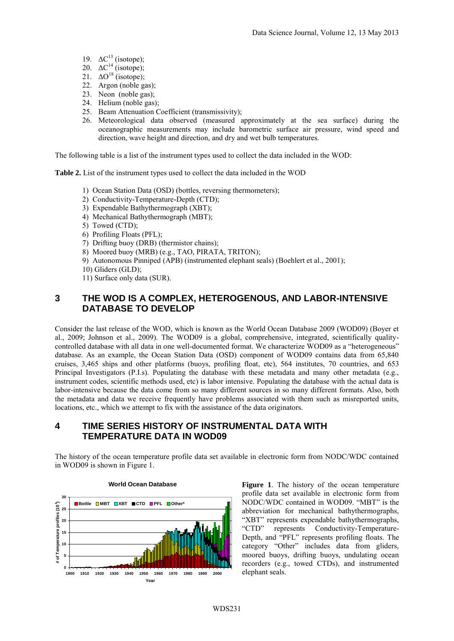- 19.  $\Delta C^{13}$  (isotope);
- 20.  $\Delta C^{14}$  (isotope);
- 21.  $\Delta O^{18}$  (isotope);
- 22. Argon (noble gas);
- 23. Neon (noble gas);
- 24. Helium (noble gas);
- 25. Beam Attenuation Coefficient (transmissivity);
- 26. Meteorological data observed (measured approximately at the sea surface) during the oceanographic measurements may include barometric surface air pressure, wind speed and direction, wave height and direction, and dry and wet bulb temperatures.

The following table is a list of the instrument types used to collect the data included in the WOD:

**Table 2.** List of the instrument types used to collect the data included in the WOD

- 1) Ocean Station Data (OSD) (bottles, reversing thermometers);
- 2) Conductivity-Temperature-Depth (CTD);
- 3) Expendable Bathythermograph (XBT);
- 4) Mechanical Bathythermograph (MBT);
- 5) Towed (CTD);
- 6) Profiling Floats (PFL);
- 7) Drifting buoy (DRB) (thermistor chains);
- 8) Moored buoy (MRB) (e.g., TAO, PIRATA, TRITON);
- 9) Autonomous Pinniped (APB) (instrumented elephant seals) (Boehlert et al., 2001);
- 10) Gliders (GLD);
- 11) Surface only data (SUR).

#### **3 THE WOD IS A COMPLEX, HETEROGENOUS, AND LABOR-INTENSIVE DATABASE TO DEVELOP**

Consider the last release of the WOD, which is known as the World Ocean Database 2009 (WOD09) (Boyer et al., 2009; Johnson et al., 2009). The WOD09 is a global, comprehensive, integrated, scientifically qualitycontrolled database with all data in one well-documented format. We characterize WOD09 as a "heterogeneous" database. As an example, the Ocean Station Data (OSD) component of WOD09 contains data from 65,840 cruises, 3,465 ships and other platforms (buoys, profiling float, etc), 564 institutes, 70 countries, and 653 Principal Investigators (P.I.s). Populating the database with these metadata and many other metadata (e.g., instrument codes, scientific methods used, etc) is labor intensive. Populating the database with the actual data is labor-intensive because the data come from so many different sources in so many different formats. Also, both the metadata and data we receive frequently have problems associated with them such as misreported units, locations, etc., which we attempt to fix with the assistance of the data originators.

#### **4 TIME SERIES HISTORY OF INSTRUMENTAL DATA WITH TEMPERATURE DATA IN WOD09**

The history of the ocean temperature profile data set available in electronic form from NODC/WDC contained in WOD09 is shown in Figure 1.



**Figure 1**. The history of the ocean temperature profile data set available in electronic form from NODC/WDC contained in WOD09. "MBT" is the abbreviation for mechanical bathythermographs, "XBT" represents expendable bathythermographs, "CTD" represents Conductivity-Temperature-Depth, and "PFL" represents profiling floats. The category "Other" includes data from gliders, moored buoys, drifting buoys, undulating ocean recorders (e.g., towed CTDs), and instrumented elephant seals.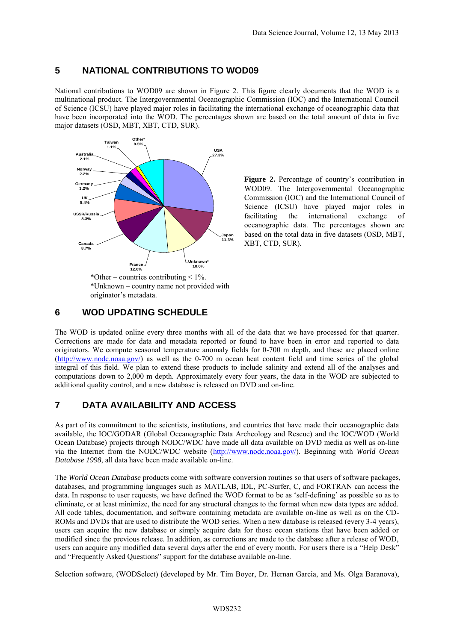## **5 NATIONAL CONTRIBUTIONS TO WOD09**

National contributions to WOD09 are shown in Figure 2. This figure clearly documents that the WOD is a multinational product. The Intergovernmental Oceanographic Commission (IOC) and the International Council of Science (ICSU) have played major roles in facilitating the international exchange of oceanographic data that have been incorporated into the WOD. The percentages shown are based on the total amount of data in five major datasets (OSD, MBT, XBT, CTD, SUR).



**Figure 2.** Percentage of country's contribution in WOD09. The Intergovernmental Oceanographic Commission (IOC) and the International Council of Science (ICSU) have played major roles in facilitating the international exchange of oceanographic data. The percentages shown are based on the total data in five datasets (OSD, MBT, XBT, CTD, SUR).

#### **6 WOD UPDATING SCHEDULE**

The WOD is updated online every three months with all of the data that we have processed for that quarter. Corrections are made for data and metadata reported or found to have been in error and reported to data originators. We compute seasonal temperature anomaly fields for 0-700 m depth, and these are placed online [\(http://www.nodc.noaa.gov/\)](http://www.nodc.noaa.gov/) as well as the 0-700 m ocean heat content field and time series of the global integral of this field. We plan to extend these products to include salinity and extend all of the analyses and computations down to 2,000 m depth. Approximately every four years, the data in the WOD are subjected to additional quality control, and a new database is released on DVD and on-line.

## **7 DATA AVAILABILITY AND ACCESS**

As part of its commitment to the scientists, institutions, and countries that have made their oceanographic data available, the IOC/GODAR (Global Oceanographic Data Archeology and Rescue) and the IOC/WOD (World Ocean Database) projects through NODC/WDC have made all data available on DVD media as well as on-line via the Internet from the NODC/WDC website [\(http://www.nodc.noaa.gov/\)](http://www.nodc.noaa.gov/). Beginning with *World Ocean Database 1998*, all data have been made available on-line.

The *World Ocean Database* products come with software conversion routines so that users of software packages, databases, and programming languages such as MATLAB, IDL, PC-Surfer, C, and FORTRAN can access the data. In response to user requests, we have defined the WOD format to be as 'self-defining' as possible so as to eliminate, or at least minimize, the need for any structural changes to the format when new data types are added. All code tables, documentation, and software containing metadata are available on-line as well as on the CD-ROMs and DVDs that are used to distribute the WOD series. When a new database is released (every 3-4 years), users can acquire the new database or simply acquire data for those ocean stations that have been added or modified since the previous release. In addition, as corrections are made to the database after a release of WOD, users can acquire any modified data several days after the end of every month. For users there is a "Help Desk" and "Frequently Asked Questions" support for the database available on-line.

Selection software, (WODSelect) (developed by Mr. Tim Boyer, Dr. Hernan Garcia, and Ms. Olga Baranova),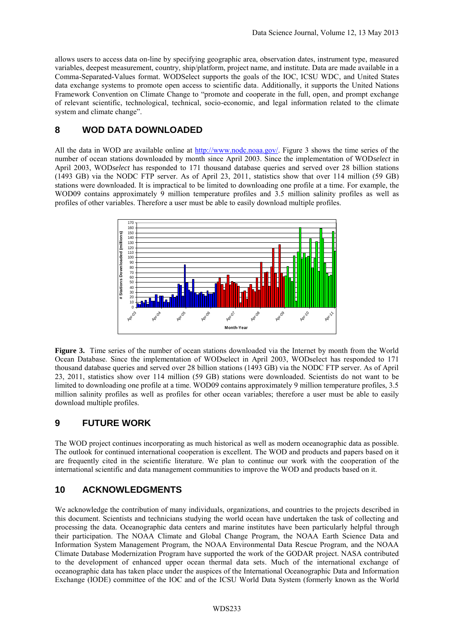allows users to access data on-line by specifying geographic area, observation dates, instrument type, measured variables, deepest measurement, country, ship/platform, project name, and institute. Data are made available in a Comma-Separated-Values format. WODSelect supports the goals of the IOC, ICSU WDC, and United States data exchange systems to promote open access to scientific data. Additionally, it supports the United Nations Framework Convention on Climate Change to "promote and cooperate in the full, open, and prompt exchange of relevant scientific, technological, technical, socio-economic, and legal information related to the climate system and climate change".

# **8 WOD DATA DOWNLOADED**

All the data in WOD are available online at [http://www.nodc.noaa.gov/.](http://www.nodc.noaa.gov/) Figure 3 shows the time series of the number of ocean stations downloaded by month since April 2003. Since the implementation of WOD*select* in April 2003, WOD*select* has responded to 171 thousand database queries and served over 28 billion stations (1493 GB) via the NODC FTP server. As of April 23, 2011, statistics show that over 114 million (59 GB) stations were downloaded. It is impractical to be limited to downloading one profile at a time. For example, the WOD09 contains approximately 9 million temperature profiles and 3.5 million salinity profiles as well as profiles of other variables. Therefore a user must be able to easily download multiple profiles.



**Figure 3.** Time series of the number of ocean stations downloaded via the Internet by month from the World Ocean Database. Since the implementation of WODselect in April 2003, WODselect has responded to 171 thousand database queries and served over 28 billion stations (1493 GB) via the NODC FTP server. As of April 23, 2011, statistics show over 114 million (59 GB) stations were downloaded. Scientists do not want to be limited to downloading one profile at a time. WOD09 contains approximately 9 million temperature profiles, 3.5 million salinity profiles as well as profiles for other ocean variables; therefore a user must be able to easily download multiple profiles.

# **9 FUTURE WORK**

The WOD project continues incorporating as much historical as well as modern oceanographic data as possible. The outlook for continued international cooperation is excellent. The WOD and products and papers based on it are frequently cited in the scientific literature. We plan to continue our work with the cooperation of the international scientific and data management communities to improve the WOD and products based on it.

# **10 ACKNOWLEDGMENTS**

We acknowledge the contribution of many individuals, organizations, and countries to the projects described in this document. Scientists and technicians studying the world ocean have undertaken the task of collecting and processing the data. Oceanographic data centers and marine institutes have been particularly helpful through their participation. The NOAA Climate and Global Change Program, the NOAA Earth Science Data and Information System Management Program, the NOAA Environmental Data Rescue Program, and the NOAA Climate Database Modernization Program have supported the work of the GODAR project. NASA contributed to the development of enhanced upper ocean thermal data sets. Much of the international exchange of oceanographic data has taken place under the auspices of the International Oceanographic Data and Information Exchange (IODE) committee of the IOC and of the ICSU World Data System (formerly known as the World